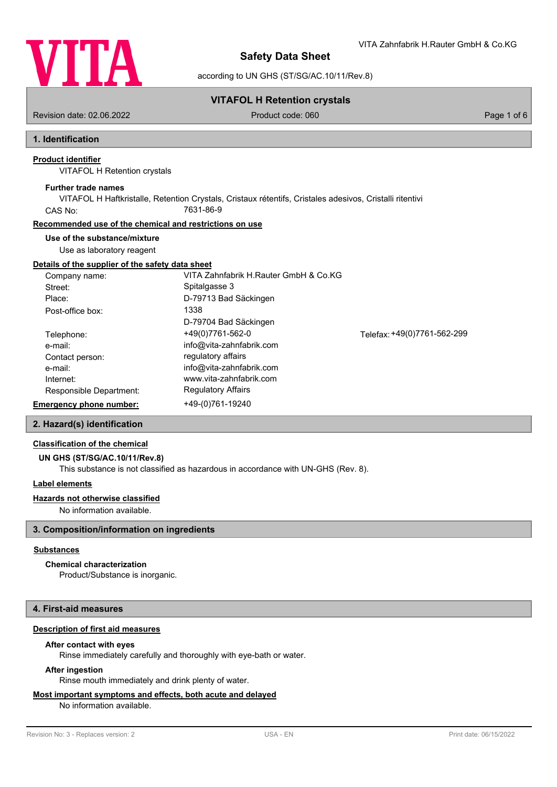

VITA Zahnfabrik H.Rauter GmbH & Co.KG

according to UN GHS (ST/SG/AC.10/11/Rev.8)

# **VITAFOL H Retention crystals**

Revision date: 02.06.2022 Product code: 060 Page 1 of 6

# **1. Identification**

# **Product identifier**

VITAFOL H Retention crystals

# **Further trade names**

VITAFOL H Haftkristalle, Retention Crystals, Cristaux rétentifs, Cristales adesivos, Cristalli ritentivi CAS No: 7631-86-9

# **Recommended use of the chemical and restrictions on use**

# **Use of the substance/mixture**

Use as laboratory reagent

# **Details of the supplier of the safety data sheet**

| Company name:                  | VITA Zahnfabrik H.Rauter GmbH & Co.KG |                             |
|--------------------------------|---------------------------------------|-----------------------------|
| Street:                        | Spitalgasse 3                         |                             |
| Place:                         | D-79713 Bad Säckingen                 |                             |
| Post-office box:               | 1338                                  |                             |
|                                | D-79704 Bad Säckingen                 |                             |
| Telephone:                     | +49(0)7761-562-0                      | Telefax: +49(0)7761-562-299 |
| e-mail:                        | info@vita-zahnfabrik.com              |                             |
| Contact person:                | regulatory affairs                    |                             |
| e-mail:                        | info@vita-zahnfabrik.com              |                             |
| Internet:                      | www.vita-zahnfabrik.com               |                             |
| Responsible Department:        | <b>Regulatory Affairs</b>             |                             |
| <b>Emergency phone number:</b> | +49-(0)761-19240                      |                             |

### **2. Hazard(s) identification**

## **Classification of the chemical**

### **UN GHS (ST/SG/AC.10/11/Rev.8)**

This substance is not classified as hazardous in accordance with UN-GHS (Rev. 8).

### **Label elements**

### **Hazards not otherwise classified**

No information available.

## **3. Composition/information on ingredients**

### **Substances**

### **Chemical characterization**

Product/Substance is inorganic.

## **4. First-aid measures**

# **Description of first aid measures**

### **After contact with eyes**

Rinse immediately carefully and thoroughly with eye-bath or water.

### **After ingestion**

Rinse mouth immediately and drink plenty of water.

# **Most important symptoms and effects, both acute and delayed**

No information available.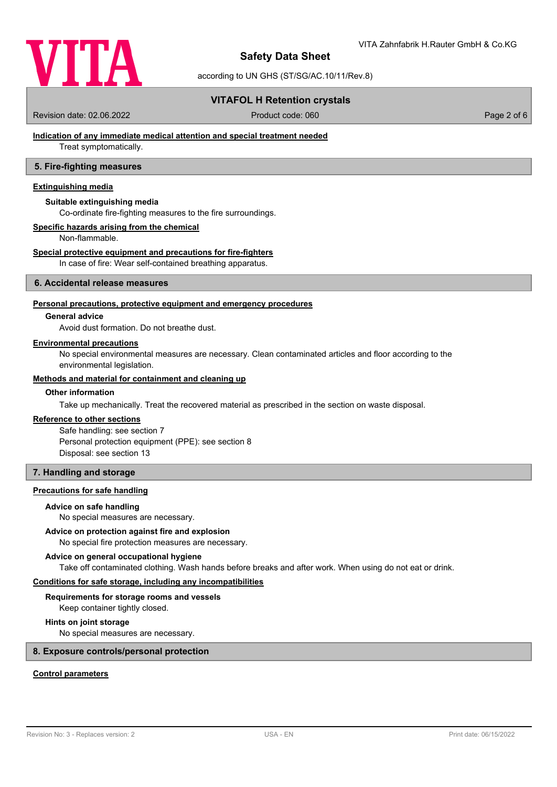

according to UN GHS (ST/SG/AC.10/11/Rev.8)

## **VITAFOL H Retention crystals**

Revision date: 02.06.2022 Product code: 060 Page 2 of 6

## **Indication of any immediate medical attention and special treatment needed**

Treat symptomatically.

## **5. Fire-fighting measures**

# **Extinguishing media**

### **Suitable extinguishing media**

Co-ordinate fire-fighting measures to the fire surroundings.

## **Specific hazards arising from the chemical**

Non-flammable.

#### **Special protective equipment and precautions for fire-fighters**

In case of fire: Wear self-contained breathing apparatus.

### **6. Accidental release measures**

#### **Personal precautions, protective equipment and emergency procedures**

### **General advice**

Avoid dust formation. Do not breathe dust.

#### **Environmental precautions**

No special environmental measures are necessary. Clean contaminated articles and floor according to the environmental legislation.

### **Methods and material for containment and cleaning up**

## **Other information**

Take up mechanically. Treat the recovered material as prescribed in the section on waste disposal.

# **Reference to other sections**

Safe handling: see section 7 Personal protection equipment (PPE): see section 8 Disposal: see section 13

### **7. Handling and storage**

### **Precautions for safe handling**

### **Advice on safe handling**

No special measures are necessary.

#### **Advice on protection against fire and explosion**

No special fire protection measures are necessary.

#### **Advice on general occupational hygiene**

Take off contaminated clothing. Wash hands before breaks and after work. When using do not eat or drink.

### **Conditions for safe storage, including any incompatibilities**

#### **Requirements for storage rooms and vessels**

Keep container tightly closed.

# **Hints on joint storage**

No special measures are necessary.

# **8. Exposure controls/personal protection**

### **Control parameters**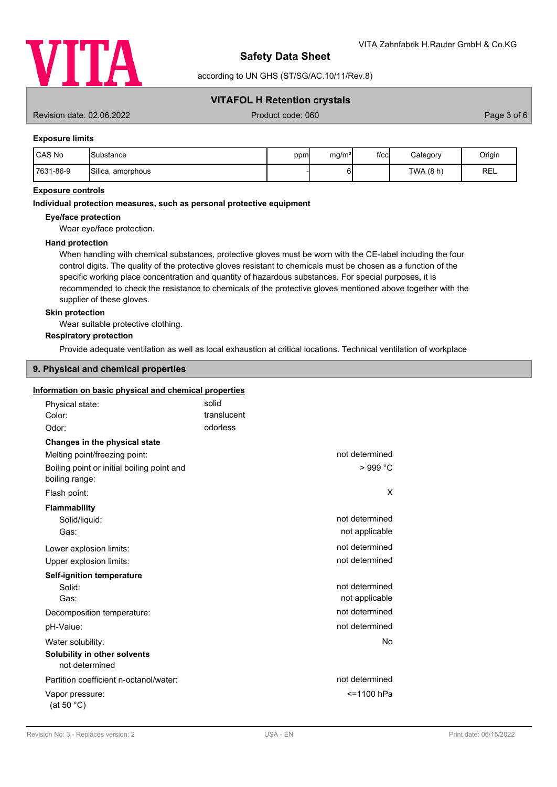

according to UN GHS (ST/SG/AC.10/11/Rev.8)

## **VITAFOL H Retention crystals**

Revision date: 02.06.2022 Product code: 060 Page 3 of 6

### **Exposure limits**

| CAS No    | ISubstance        | ppm | mg/m <sup>3</sup> | $f$ / $c$ c $\vert$ | Category  | Origin     |
|-----------|-------------------|-----|-------------------|---------------------|-----------|------------|
| 7631-86-9 | Silica, amorphous |     |                   |                     | TWA (8 h) | <b>REL</b> |

### **Exposure controls**

#### **Individual protection measures, such as personal protective equipment**

#### **Eye/face protection**

Wear eye/face protection.

### **Hand protection**

When handling with chemical substances, protective gloves must be worn with the CE-label including the four control digits. The quality of the protective gloves resistant to chemicals must be chosen as a function of the specific working place concentration and quantity of hazardous substances. For special purposes, it is recommended to check the resistance to chemicals of the protective gloves mentioned above together with the supplier of these gloves.

### **Skin protection**

Wear suitable protective clothing.

#### **Respiratory protection**

Provide adequate ventilation as well as local exhaustion at critical locations. Technical ventilation of workplace

## **9. Physical and chemical properties**

#### **Information on basic physical and chemical properties**

| Physical state:                                              | solid       |                |
|--------------------------------------------------------------|-------------|----------------|
| Color:                                                       | translucent |                |
| Odor:                                                        | odorless    |                |
| Changes in the physical state                                |             |                |
| Melting point/freezing point:                                |             | not determined |
| Boiling point or initial boiling point and<br>boiling range: |             | $>999$ °C      |
| Flash point:                                                 |             | X              |
| <b>Flammability</b>                                          |             |                |
| Solid/liquid:                                                |             | not determined |
| Gas:                                                         |             | not applicable |
| Lower explosion limits:                                      |             | not determined |
| Upper explosion limits:                                      |             | not determined |
| <b>Self-ignition temperature</b>                             |             |                |
| Solid:                                                       |             | not determined |
| Gas:                                                         |             | not applicable |
| Decomposition temperature:                                   |             | not determined |
| pH-Value:                                                    |             | not determined |
| Water solubility:                                            |             | No             |
| Solubility in other solvents<br>not determined               |             |                |
| Partition coefficient n-octanol/water:                       |             | not determined |
| Vapor pressure:<br>(at 50 $°C$ )                             |             | <=1100 hPa     |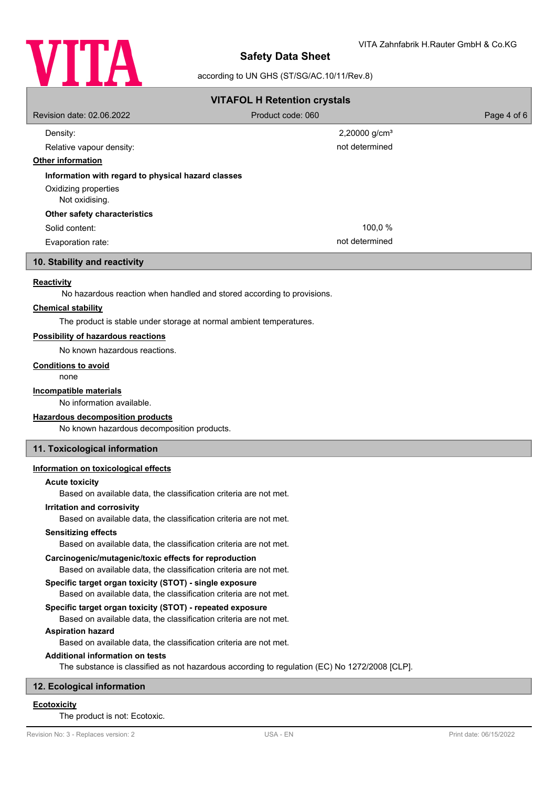

## according to UN GHS (ST/SG/AC.10/11/Rev.8)

| <b>VITAFOL H Retention crystals</b>                |                           |             |  |  |  |  |
|----------------------------------------------------|---------------------------|-------------|--|--|--|--|
| Revision date: 02.06.2022                          | Product code: 060         | Page 4 of 6 |  |  |  |  |
| Density:                                           | 2,20000 g/cm <sup>3</sup> |             |  |  |  |  |
| Relative vapour density:                           | not determined            |             |  |  |  |  |
| <b>Other information</b>                           |                           |             |  |  |  |  |
| Information with regard to physical hazard classes |                           |             |  |  |  |  |
| Oxidizing properties                               |                           |             |  |  |  |  |
| Not oxidising.                                     |                           |             |  |  |  |  |
| Other safety characteristics                       |                           |             |  |  |  |  |
| Solid content:                                     | 100,0 %                   |             |  |  |  |  |
| Evaporation rate:                                  | not determined            |             |  |  |  |  |
|                                                    |                           |             |  |  |  |  |

# **10. Stability and reactivity**

### **Reactivity**

No hazardous reaction when handled and stored according to provisions.

## **Chemical stability**

The product is stable under storage at normal ambient temperatures.

### **Possibility of hazardous reactions**

No known hazardous reactions.

#### **Conditions to avoid**

none

### **Incompatible materials**

No information available.

### **Hazardous decomposition products**

No known hazardous decomposition products.

### **11. Toxicological information**

### **Information on toxicological effects**

#### **Acute toxicity**

Based on available data, the classification criteria are not met.

### **Irritation and corrosivity**

Based on available data, the classification criteria are not met.

### **Sensitizing effects**

Based on available data, the classification criteria are not met.

### **Carcinogenic/mutagenic/toxic effects for reproduction**

Based on available data, the classification criteria are not met.

# **Specific target organ toxicity (STOT) - single exposure**

Based on available data, the classification criteria are not met.

### **Specific target organ toxicity (STOT) - repeated exposure**

Based on available data, the classification criteria are not met.

# **Aspiration hazard**

Based on available data, the classification criteria are not met.

# **Additional information on tests**

The substance is classified as not hazardous according to regulation (EC) No 1272/2008 [CLP].

# **12. Ecological information**

# **Ecotoxicity**

The product is not: Ecotoxic.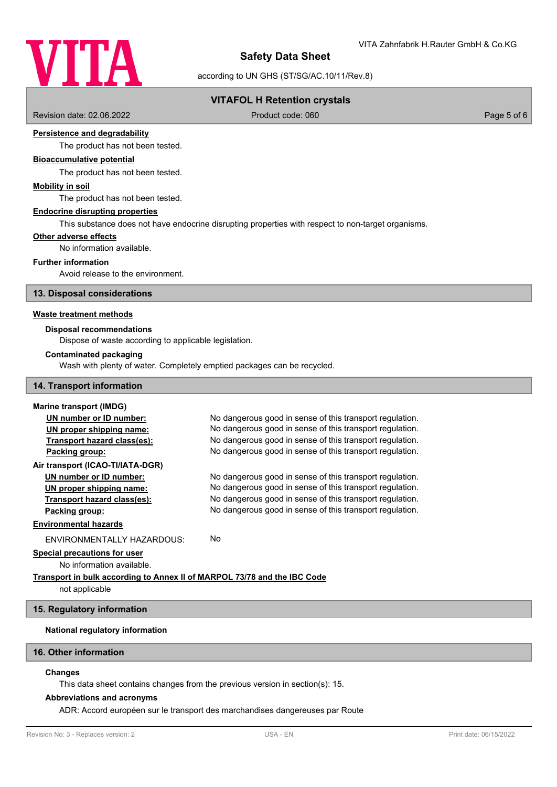

according to UN GHS (ST/SG/AC.10/11/Rev.8)

# **VITAFOL H Retention crystals**

Revision date: 02.06.2022 Product code: 060 Page 5 of 6

### **Persistence and degradability**

The product has not been tested.

# **Bioaccumulative potential**

The product has not been tested.

### **Mobility in soil**

The product has not been tested.

### **Endocrine disrupting properties**

This substance does not have endocrine disrupting properties with respect to non-target organisms.

### **Other adverse effects**

No information available.

# **Further information**

Avoid release to the environment.

**13. Disposal considerations**

### **Waste treatment methods**

### **Disposal recommendations**

Dispose of waste according to applicable legislation.

### **Contaminated packaging**

Wash with plenty of water. Completely emptied packages can be recycled.

#### **14. Transport information**

# **Marine transport (IMDG) UN number or ID number:** No dangerous good in sense of this transport regulation. **UN proper shipping name:** No dangerous good in sense of this transport regulation. **Transport hazard class(es):** No dangerous good in sense of this transport regulation. **Packing group:** No dangerous good in sense of this transport regulation. **Air transport (ICAO-TI/IATA-DGR) UN number or ID number:** No dangerous good in sense of this transport regulation. **UN proper shipping name:** No dangerous good in sense of this transport regulation. **Transport hazard class(es):** No dangerous good in sense of this transport regulation. **Packing group:** No dangerous good in sense of this transport regulation. **Environmental hazards** ENVIRONMENTALLY HAZARDOUS: No **Special precautions for user** No information available. **Transport in bulk according to Annex II of MARPOL 73/78 and the IBC Code**

not applicable

## **15. Regulatory information**

## **National regulatory information**

# **16. Other information**

### **Changes**

This data sheet contains changes from the previous version in section(s): 15.

#### **Abbreviations and acronyms**

ADR: Accord européen sur le transport des marchandises dangereuses par Route